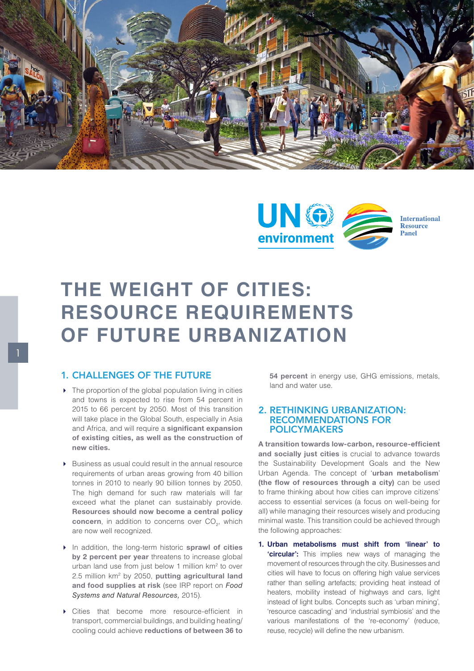



## **THE WEIGHT OF CITIES: RESOURCE REQUIREMENTS OF FUTURE URBANIZATION**

## 1. CHALLENGES OF THE FUTURE

- $\triangleright$  The proportion of the global population living in cities and towns is expected to rise from 54 percent in 2015 to 66 percent by 2050. Most of this transition will take place in the Global South, especially in Asia and Africa, and will require a significant expansion of existing cities, as well as the construction of new cities.
- Business as usual could result in the annual resource requirements of urban areas growing from 40 billion tonnes in 2010 to nearly 90 billion tonnes by 2050. The high demand for such raw materials will far exceed what the planet can sustainably provide. Resources should now become a central policy concern, in addition to concerns over  $CO<sub>2</sub>$ , which are now well recognized.
- In addition, the long-term historic sprawl of cities by 2 percent per year threatens to increase global urban land use from just below 1 million km2 to over 2.5 million km<sup>2</sup> by 2050, putting agricultural land and food supplies at risk (see IRP report on *Food Systems and Natural Resources,* 2015).
- Cities that become more resource-efficient in transport, commercial buildings, and building heating/ cooling could achieve reductions of between 36 to

54 percent in energy use, GHG emissions, metals, land and water use.

## 2. RETHINKING URBANIZATION: RECOMMENDATIONS FOR POLICYMAKERS

A transition towards low-carbon, resource-efficient and socially just cities is crucial to advance towards the Sustainability Development Goals and the New Urban Agenda. The concept of 'urban metabolism' (the flow of resources through a city) can be used to frame thinking about how cities can improve citizens' access to essential services (a focus on well-being for all) while managing their resources wisely and producing minimal waste. This transition could be achieved through the following approaches:

**1. Urban metabolisms must shift from 'linear' to 'circular':** This implies new ways of managing the movement of resources through the city. Businesses and cities will have to focus on offering high value services rather than selling artefacts; providing heat instead of heaters, mobility instead of highways and cars, light instead of light bulbs. Concepts such as 'urban mining', 'resource cascading' and 'industrial symbiosis' and the various manifestations of the 're-economy' (reduce, reuse, recycle) will define the new urbanism.